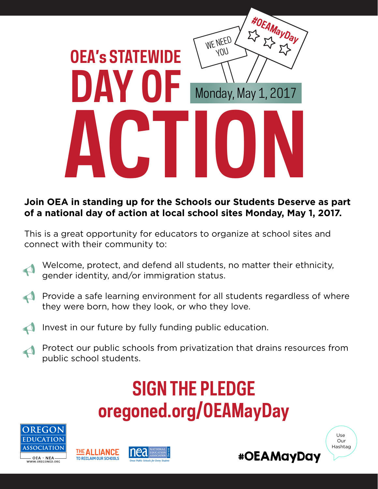

#### **Join OEA in standing up for the Schools our Students Deserve as part of a national day of action at local school sites Monday, May 1, 2017.**

This is a great opportunity for educators to organize at school sites and connect with their community to:

Welcome, protect, and defend all students, no matter their ethnicity, gender identity, and/or immigration status.

- Provide a safe learning environment for all students regardless of where they were born, how they look, or who they love.  $\blacklozenge$
- Invest in our future by fully funding public education.  $\blacklozenge$
- Protect our public schools from privatization that drains resources from public school students.  $\rightarrow$

# **SIGN THE PLEDGE oregoned.org/OEAMayDay**









Use Our Hashtag